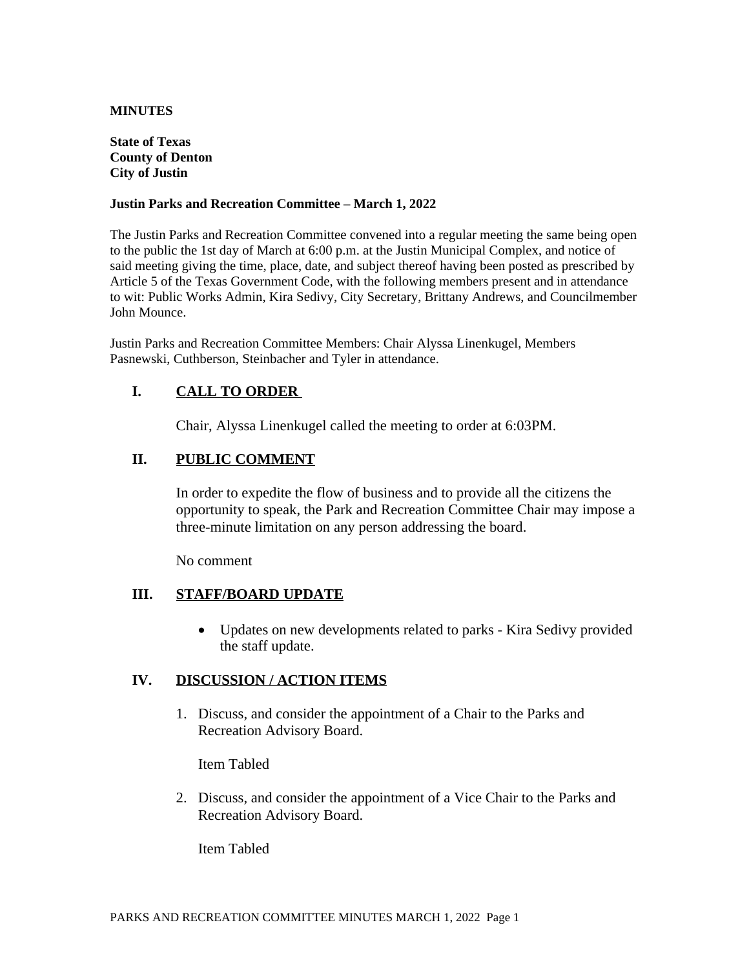#### **MINUTES**

#### **State of Texas County of Denton City of Justin**

#### **Justin Parks and Recreation Committee – March 1, 2022**

The Justin Parks and Recreation Committee convened into a regular meeting the same being open to the public the 1st day of March at 6:00 p.m. at the Justin Municipal Complex, and notice of said meeting giving the time, place, date, and subject thereof having been posted as prescribed by Article 5 of the Texas Government Code, with the following members present and in attendance to wit: Public Works Admin, Kira Sedivy, City Secretary, Brittany Andrews, and Councilmember John Mounce.

Justin Parks and Recreation Committee Members: Chair Alyssa Linenkugel, Members Pasnewski, Cuthberson, Steinbacher and Tyler in attendance.

# **I. CALL TO ORDER**

Chair, Alyssa Linenkugel called the meeting to order at 6:03PM.

## **II. PUBLIC COMMENT**

In order to expedite the flow of business and to provide all the citizens the opportunity to speak, the Park and Recreation Committee Chair may impose a three-minute limitation on any person addressing the board.

No comment

## **III. STAFF/BOARD UPDATE**

• Updates on new developments related to parks - Kira Sedivy provided the staff update.

## **IV. DISCUSSION / ACTION ITEMS**

1. Discuss, and consider the appointment of a Chair to the Parks and Recreation Advisory Board.

Item Tabled

2. Discuss, and consider the appointment of a Vice Chair to the Parks and Recreation Advisory Board.

Item Tabled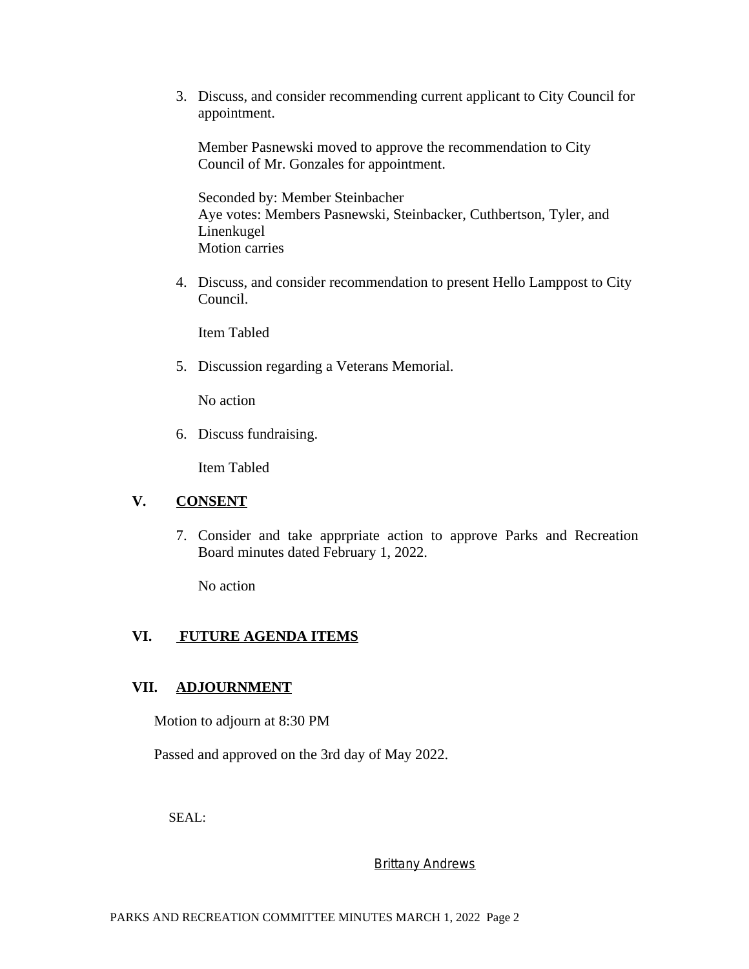3. Discuss, and consider recommending current applicant to City Council for appointment.

Member Pasnewski moved to approve the recommendation to City Council of Mr. Gonzales for appointment.

Seconded by: Member Steinbacher Aye votes: Members Pasnewski, Steinbacker, Cuthbertson, Tyler, and Linenkugel Motion carries

4. Discuss, and consider recommendation to present Hello Lamppost to City Council.

Item Tabled

5. Discussion regarding a Veterans Memorial.

No action

6. Discuss fundraising.

Item Tabled

# **V. CONSENT**

7. Consider and take apprpriate action to approve Parks and Recreation Board minutes dated February 1, 2022.

No action

## **VI. FUTURE AGENDA ITEMS**

## **VII. ADJOURNMENT**

Motion to adjourn at 8:30 PM

Passed and approved on the 3rd day of May 2022.

SEAL:

#### **Brittany Andrews**